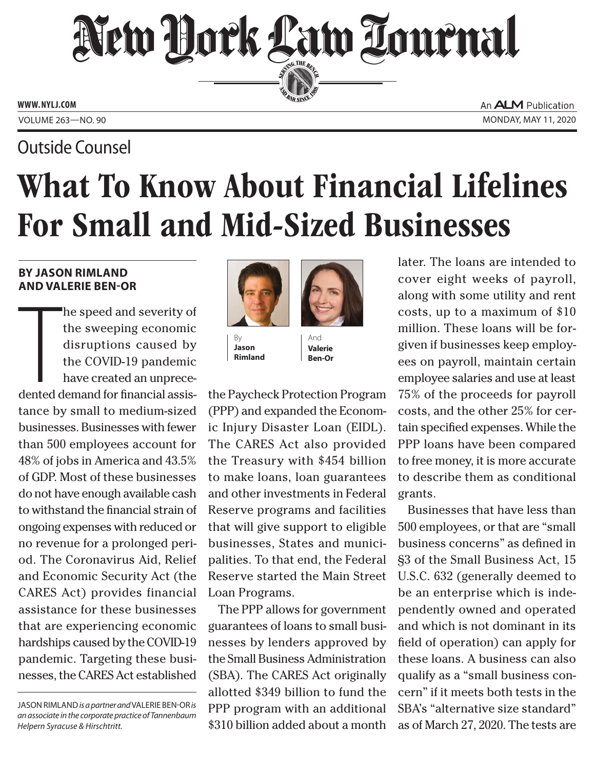## New York Law Lournal SERVING THE BET

**ED BAR SINCE 1888** 

**www. NYLJ.com**

### Outside Counsel

An **ALM** Publication Volume 263—NO. 90 Monday, May 11, 2020

# What To Know About Financial Lifelines For Small and Mid-Sized Businesses

#### **by Jason Rimland and Valerie Ben-Or**

The definition of the definition of the definition of the definition of the definition of the definition of the definition of the definition of the definition of the definition of the definition of the definition of the de he speed and severity of the sweeping economic disruptions caused by the COVID-19 pandemic have created an unprecedented demand for financial assistance by small to medium-sized businesses. Businesses with fewer than 500 employees account for 48% of jobs in America and 43.5% of GDP. Most of these businesses do not have enough available cash to withstand the financial strain of ongoing expenses with reduced or no revenue for a prolonged period. The Coronavirus Aid, Relief and Economic Security Act (the CARES Act) provides financial assistance for these businesses that are experiencing economic hardships caused by the COVID-19 pandemic. Targeting these businesses, the CARES Act established



**Jason Rimland**



the Paycheck Protection Program (PPP) and expanded the Economic Injury Disaster Loan (EIDL). The CARES Act also provided the Treasury with \$454 billion to make loans, loan guarantees and other investments in Federal Reserve programs and facilities that will give support to eligible businesses, States and municipalities. To that end, the Federal Reserve started the Main Street Loan Programs.

The PPP allows for government guarantees of loans to small businesses by lenders approved by the Small Business Administration (SBA). The CARES Act originally allotted \$349 billion to fund the PPP program with an additional \$310 billion added about a month later. The loans are intended to cover eight weeks of payroll, along with some utility and rent costs, up to a maximum of \$10 million. These loans will be forgiven if businesses keep employees on payroll, maintain certain employee salaries and use at least 75% of the proceeds for payroll costs, and the other 25% for certain specified expenses. While the PPP loans have been compared to free money, it is more accurate to describe them as conditional grants.

Businesses that have less than 500 employees, or that are "small business concerns" as defined in §3 of the Small Business Act, 15 U.S.C. 632 (generally deemed to be an enterprise which is independently owned and operated and which is not dominant in its field of operation) can apply for these loans. A business can also qualify as a "small business concern" if it meets both tests in the SBA's "alternative size standard" as of March 27, 2020. The tests are

Jason Rimland *is a partner and* Valerie Ben-Or *is an associate in the corporate practice of Tannenbaum Helpern Syracuse & Hirschtritt.*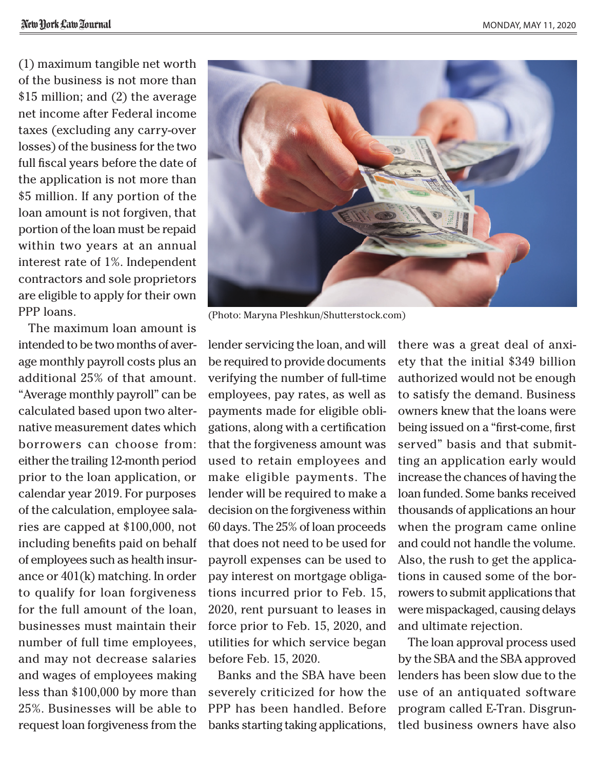(1) maximum tangible net worth of the business is not more than \$15 million; and (2) the average net income after Federal income taxes (excluding any carry-over losses) of the business for the two full fiscal years before the date of the application is not more than \$5 million. If any portion of the loan amount is not forgiven, that portion of the loan must be repaid within two years at an annual interest rate of 1%. Independent contractors and sole proprietors are eligible to apply for their own PPP loans.

The maximum loan amount is intended to be two months of average monthly payroll costs plus an additional 25% of that amount. "Average monthly payroll" can be calculated based upon two alternative measurement dates which borrowers can choose from: either the trailing 12-month period prior to the loan application, or calendar year 2019. For purposes of the calculation, employee salaries are capped at \$100,000, not including benefits paid on behalf of employees such as health insurance or 401(k) matching. In order to qualify for loan forgiveness for the full amount of the loan, businesses must maintain their number of full time employees, and may not decrease salaries and wages of employees making less than \$100,000 by more than 25%. Businesses will be able to request loan forgiveness from the



(Photo: Maryna Pleshkun/Shutterstock.com)

lender servicing the loan, and will be required to provide documents verifying the number of full-time employees, pay rates, as well as payments made for eligible obligations, along with a certification that the forgiveness amount was used to retain employees and make eligible payments. The lender will be required to make a decision on the forgiveness within 60 days. The 25% of loan proceeds that does not need to be used for payroll expenses can be used to pay interest on mortgage obligations incurred prior to Feb. 15, 2020, rent pursuant to leases in force prior to Feb. 15, 2020, and utilities for which service began before Feb. 15, 2020.

Banks and the SBA have been severely criticized for how the PPP has been handled. Before banks starting taking applications,

there was a great deal of anxiety that the initial \$349 billion authorized would not be enough to satisfy the demand. Business owners knew that the loans were being issued on a "first-come, first served" basis and that submitting an application early would increase the chances of having the loan funded. Some banks received thousands of applications an hour when the program came online and could not handle the volume. Also, the rush to get the applications in caused some of the borrowers to submit applications that were mispackaged, causing delays and ultimate rejection.

The loan approval process used by the SBA and the SBA approved lenders has been slow due to the use of an antiquated software program called E-Tran. Disgruntled business owners have also